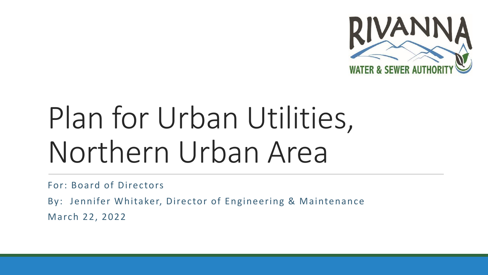

# Plan for Urban Utilities, Northern Urban Area

For: Board of Directors

By: Jennifer Whitaker, Director of Engineering & Maintenance March 22, 2022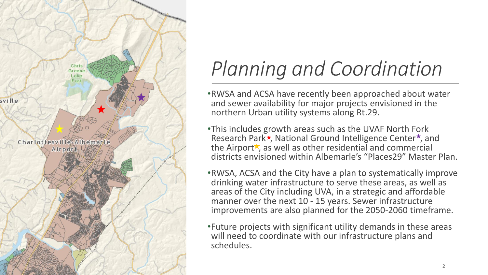

### *Planning and Coordination*

- •RWSA and ACSA have recently been approached about water and sewer availability for major projects envisioned in the northern Urban utility systems along Rt.29.
- •This includes growth areas such as the UVAF North Fork Research Park \*, National Ground Intelligence Center \*, and the Airport $\star$ , as well as other residential and commercial districts envisioned within Albemarle's "Places29" Master Plan.
- •RWSA, ACSA and the City have a plan to systematically improve drinking water infrastructure to serve these areas, as well as areas of the City including UVA, in a strategic and affordable manner over the next 10 - 15 years. Sewer infrastructure improvements are also planned for the 2050-2060 timeframe.
- •Future projects with significant utility demands in these areas will need to coordinate with our infrastructure plans and schedules.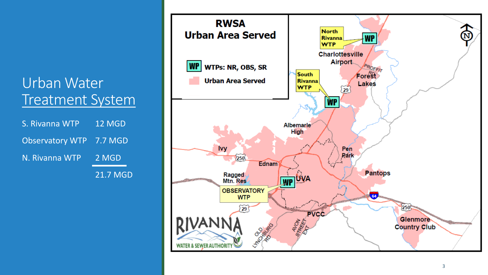#### Urban Water Treatment System

| S. Rivanna WTP          | 12 MGD          |
|-------------------------|-----------------|
| Observatory WTP 7.7 MGD |                 |
| N. Rivanna WTP          | 2 MGD           |
|                         | <b>21.7 MGD</b> |

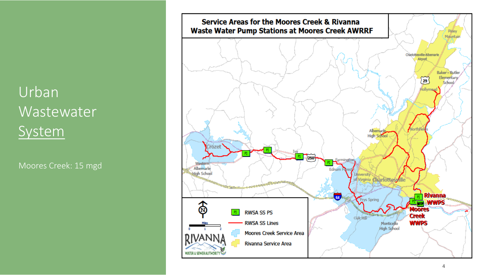#### Urban Wastewater System

Moores Creek: 15 mgd

![](_page_3_Figure_2.jpeg)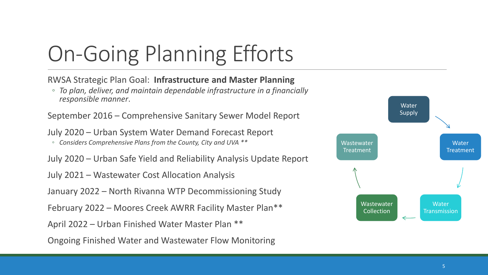# On-Going Planning Efforts

RWSA Strategic Plan Goal: **Infrastructure and Master Planning** 

◦ *To plan, deliver, and maintain dependable infrastructure in a financially responsible manner*.

September 2016 – Comprehensive Sanitary Sewer Model Report

July 2020 – Urban System Water Demand Forecast Report

◦ *Considers Comprehensive Plans from the County, City and UVA \*\**

July 2020 – Urban Safe Yield and Reliability Analysis Update Report

July 2021 – Wastewater Cost Allocation Analysis

January 2022 – North Rivanna WTP Decommissioning Study

February 2022 – Moores Creek AWRR Facility Master Plan\*\*

April 2022 – Urban Finished Water Master Plan \*\*

Ongoing Finished Water and Wastewater Flow Monitoring

![](_page_4_Figure_12.jpeg)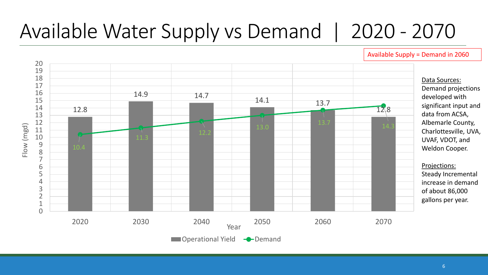### Available Water Supply vs Demand | 2020 - 2070

![](_page_5_Figure_1.jpeg)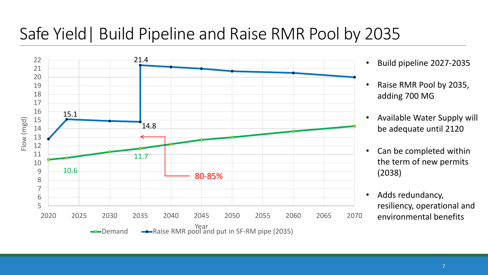#### Safe Yield| Build Pipeline and Raise RMR Pool by 2035

![](_page_6_Figure_1.jpeg)

- Build pipeline 2027-2035
- Raise RMR Pool by 2035, adding 700 MG
- Available Water Supply will be adequate until 2120
- Can be completed within the term of new permits (2038)
- Adds redundancy, resiliency, operational and environmental benefits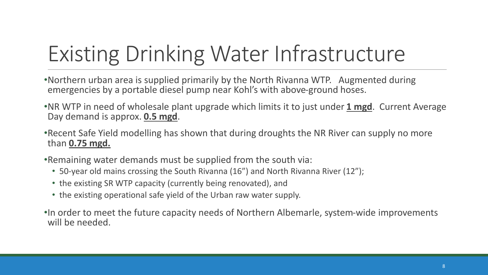# Existing Drinking Water Infrastructure

- •Northern urban area is supplied primarily by the North Rivanna WTP. Augmented during emergencies by a portable diesel pump near Kohl's with above-ground hoses.
- •NR WTP in need of wholesale plant upgrade which limits it to just under **1 mgd**. Current Average Day demand is approx. **0.5 mgd**.
- •Recent Safe Yield modelling has shown that during droughts the NR River can supply no more than **0.75 mgd.**
- •Remaining water demands must be supplied from the south via:
	- 50-year old mains crossing the South Rivanna (16") and North Rivanna River (12");
	- the existing SR WTP capacity (currently being renovated), and
	- the existing operational safe yield of the Urban raw water supply.
- •In order to meet the future capacity needs of Northern Albemarle, system-wide improvements will be needed.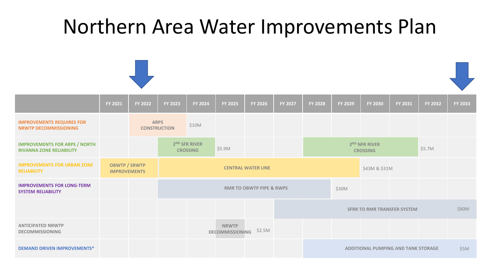### Northern Area Water Improvements Plan

![](_page_8_Figure_1.jpeg)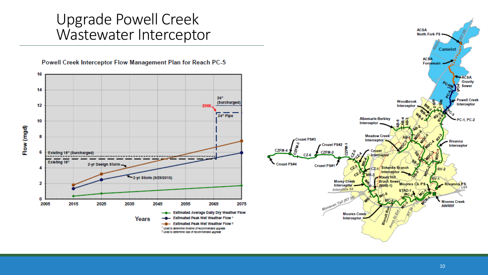#### Upgrade Powell Creek Wastewater Interceptor

![](_page_9_Figure_1.jpeg)

**ACSA North Fork PS**